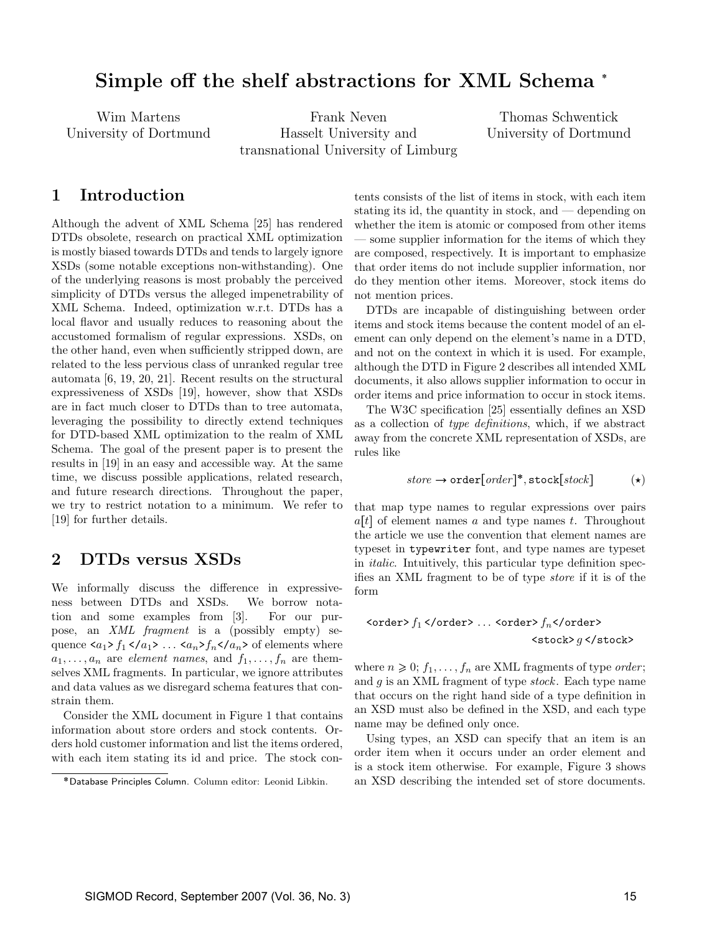# Simple off the shelf abstractions for XML Schema

Wim Martens University of Dortmund

Frank Neven Hasselt University and transnational University of Limburg

Thomas Schwentick University of Dortmund

### 1 Introduction

Although the advent of XML Schema [25] has rendered DTDs obsolete, research on practical XML optimization is mostly biased towards DTDs and tends to largely ignore XSDs (some notable exceptions non-withstanding). One of the underlying reasons is most probably the perceived simplicity of DTDs versus the alleged impenetrability of XML Schema. Indeed, optimization w.r.t. DTDs has a local flavor and usually reduces to reasoning about the accustomed formalism of regular expressions. XSDs, on the other hand, even when sufficiently stripped down, are related to the less pervious class of unranked regular tree automata [6, 19, 20, 21]. Recent results on the structural expressiveness of XSDs [19], however, show that XSDs are in fact much closer to DTDs than to tree automata, leveraging the possibility to directly extend techniques for DTD-based XML optimization to the realm of XML Schema. The goal of the present paper is to present the results in [19] in an easy and accessible way. At the same time, we discuss possible applications, related research, and future research directions. Throughout the paper, we try to restrict notation to a minimum. We refer to [19] for further details.

### 2 DTDs versus XSDs

We informally discuss the difference in expressiveness between DTDs and XSDs. We borrow notation and some examples from [3]. For our purpose, an XML fragment is a (possibly empty) sequence  $\langle a_1 \rangle f_1 \langle a_1 \rangle \dots \langle a_n \rangle f_n \langle a_n \rangle$  of elements where  $a_1, \ldots, a_n$  are *element names*, and  $f_1, \ldots, f_n$  are themselves XML fragments. In particular, we ignore attributes and data values as we disregard schema features that constrain them.

Consider the XML document in Figure 1 that contains information about store orders and stock contents. Orders hold customer information and list the items ordered, with each item stating its id and price. The stock contents consists of the list of items in stock, with each item stating its id, the quantity in stock, and — depending on whether the item is atomic or composed from other items — some supplier information for the items of which they are composed, respectively. It is important to emphasize that order items do not include supplier information, nor do they mention other items. Moreover, stock items do not mention prices.

DTDs are incapable of distinguishing between order items and stock items because the content model of an element can only depend on the element's name in a DTD, and not on the context in which it is used. For example, although the DTD in Figure 2 describes all intended XML documents, it also allows supplier information to occur in order items and price information to occur in stock items.

The W3C specification [25] essentially defines an XSD as a collection of type definitions, which, if we abstract away from the concrete XML representation of XSDs, are rules like

$$
store \rightarrow \text{order}[order]^*, \text{stock}[stock]
$$
 (\*)

that map type names to regular expressions over pairs  $a[t]$  of element names a and type names t. Throughout the article we use the convention that element names are typeset in typewriter font, and type names are typeset in italic. Intuitively, this particular type definition specifies an XML fragment to be of type store if it is of the form

<order> f<sup>1</sup> </order> . . . <order> fn</order> <stock> g </stock>

where  $n \geq 0$ ;  $f_1, \ldots, f_n$  are XML fragments of type *order*; and  $g$  is an XML fragment of type stock. Each type name that occurs on the right hand side of a type definition in an XSD must also be defined in the XSD, and each type name may be defined only once.

Using types, an XSD can specify that an item is an order item when it occurs under an order element and is a stock item otherwise. For example, Figure 3 shows an XSD describing the intended set of store documents.

Database Principles Column. Column editor: Leonid Libkin.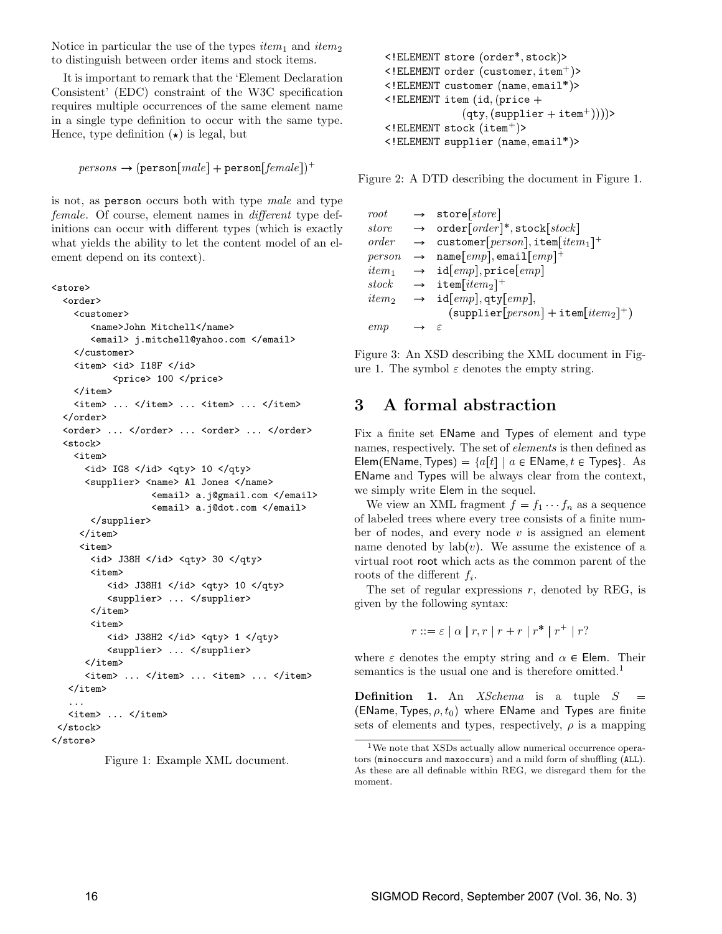Notice in particular the use of the types  $item_1$  and  $item_2$ to distinguish between order items and stock items.

It is important to remark that the 'Element Declaration Consistent' (EDC) constraint of the W3C specification requires multiple occurrences of the same element name in a single type definition to occur with the same type. Hence, type definition  $(\star)$  is legal, but

```
\mathit{persons}\rightarrow(\mathtt{person}[\mathit{male}]+\mathtt{person}[\mathit{female}])^+
```
is not, as person occurs both with type male and type female. Of course, element names in different type definitions can occur with different types (which is exactly what yields the ability to let the content model of an element depend on its context).

```
<store>
  <order>
    <customer>
        <name>John Mitchell</name>
        <email> j.mitchell@yahoo.com </email>
    </customer>
    <item> <id> I18F </id>
            <price> 100 </price>
    </item>
    \langleitem> ... \langle/item> ... \langleitem> ... \langle/item>
  </order>
  <order> ... </order> ... <order> ... </order>
  <stock>
    <item>
      \langleid> IG8 \langleid> \langleqty> 10 \langle/qty>
      <supplier> <name> Al Jones </name>
                    <email> a.j@gmail.com </email>
                    <email> a.j@dot.com </email>
        </supplier>
      </item>
      <item>
        <id> J38H </id> <qty> 30 </qty>
        <item>
           <id> J38H1 </id> <qty> 10 </qty>
           <supplier> ... </supplier>
        </item>
        <item>
           \langleid> J38H2 \langle/id> \langleqty> 1 \langle/qty>
           <supplier> ... </supplier>
      </item>
      <item> ... </item> ... <item> ... </item>
   </item>
   ...
   <item> ... </item>
 </stock>
</store>
```

```
Figure 1: Example XML document.
```

```
<!ELEMENT store (order*, stock)>
<!ELEMENT order (customer,item^{\mathrm{+}})>
\leq!ELEMENT customer (\texttt{name}, \texttt{email*})>
\leq! ELEMENT item (id, (price +
                (\texttt{qty}, (\texttt{supplier} + \texttt{item}^+))))>
<!ELEMENT stock (item+)>
<!ELEMENT supplier (name, email*)>
```
Figure 2: A DTD describing the document in Figure 1.

| root                     | $\rightarrow$ store[store]                                              |
|--------------------------|-------------------------------------------------------------------------|
| store                    | $\rightarrow$ order $[order]$ <sup>*</sup> , stock $[stock]$            |
| order                    | $\rightarrow$ customer [person], item [item <sub>1</sub> ] <sup>+</sup> |
| person                   | $\rightarrow$ name [emp], email [emp] <sup>+</sup>                      |
| $item_1$                 | $\rightarrow$ id[ <i>emp</i> ], price[ <i>emp</i> ]                     |
|                          | stock $\rightarrow$ item[item <sub>2</sub> ] <sup>+</sup>               |
| <i>item</i> <sub>2</sub> | $\rightarrow$ id[emp], qty[emp],                                        |
|                          | $(\texttt{supplier}[person] + \texttt{item}[item_2]^+)$                 |
| emp                      | - E                                                                     |

Figure 3: An XSD describing the XML document in Figure 1. The symbol  $\varepsilon$  denotes the empty string.

### 3 A formal abstraction

Fix a finite set EName and Types of element and type names, respectively. The set of elements is then defined as Elem (EName, Types) =  ${a[t] | a \in \text{EName}, t \in \text{Types}}$ . As EName and Types will be always clear from the context, we simply write Elem in the sequel.

We view an XML fragment  $f = f_1 \cdots f_n$  as a sequence of labeled trees where every tree consists of a finite number of nodes, and every node  $v$  is assigned an element name denoted by  $lab(v)$ . We assume the existence of a virtual root root which acts as the common parent of the roots of the different  $f_i$ .

The set of regular expressions  $r$ , denoted by REG, is given by the following syntax:

$$
r ::= \varepsilon \mid \alpha \mid r, r \mid r + r \mid r^* \mid r^+ \mid r?
$$

where  $\varepsilon$  denotes the empty string and  $\alpha \in$  Elem. Their semantics is the usual one and is therefore omitted.<sup>1</sup>

Definition 1. An XSchema is a tuple S (EName, Types,  $\rho, t_0)$  where <code>EName</code> and <code>Types</code> are finite sets of elements and types, respectively,  $\rho$  is a mapping

<sup>&</sup>lt;sup>1</sup>We note that XSDs actually allow numerical occurrence operators (minoccurs and maxoccurs) and a mild form of shuffling (ALL). As these are all definable within REG, we disregard them for the moment.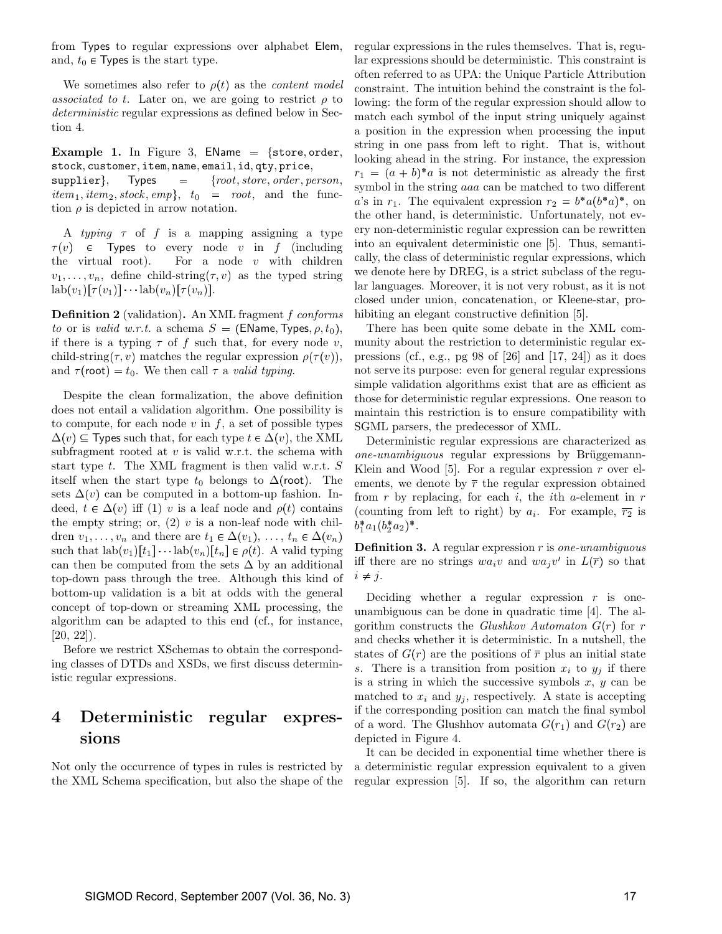from Types to regular expressions over alphabet Elem, and,  $t_0 \in$  Types is the start type.

We sometimes also refer to  $\rho(t)$  as the *content model* associated to t. Later on, we are going to restrict  $\rho$  to deterministic regular expressions as defined below in Section 4.

#### Example 1. In Figure 3, EName  $=$  {store, order, stock, customer, item, name, email, id, qty, price,

 ${\rm supplier}\}$ , Types = {root, store, order, person,  $item_1, item_2, stock, emp\}, t_0 = root, and the func$ tion  $\rho$  is depicted in arrow notation.

A typing  $\tau$  of f is a mapping assigning a type  $\tau(v)$   $\in$  Types to every node v in f (including the virtual root). For a node  $v$  with children  $v_1, \ldots, v_n$ , define child-string  $(\tau, v)$  as the typed string  $\text{lab}(v_1)[\tau(v_1)]\cdots\text{lab}(v_n)[\tau(v_n)].$ 

Definition 2 (validation). An XML fragment f conforms to or is valid w.r.t. a schema  $S = (EName, Types, \rho, t_0),$ if there is a typing  $\tau$  of f such that, for every node v, child-string  $(\tau, v)$  matches the regular expression  $\rho(\tau(v))$ , and  $\tau$ (root) =  $t_0$ . We then call  $\tau$  a valid typing.

Despite the clean formalization, the above definition does not entail a validation algorithm. One possibility is to compute, for each node  $v$  in  $f$ , a set of possible types  $\Delta(v)$  ⊆ Types such that, for each type  $t \in \Delta(v)$ , the XML subfragment rooted at  $v$  is valid w.r.t. the schema with start type  $t$ . The XML fragment is then valid w.r.t.  $S$ itself when the start type  $t_0$  belongs to  $\Delta$ (root). The sets  $\Delta(v)$  can be computed in a bottom-up fashion. Indeed,  $t \in \Delta(v)$  iff (1) v is a leaf node and  $\rho(t)$  contains the empty string; or,  $(2)$  v is a non-leaf node with children  $v_1, \ldots, v_n$  and there are  $t_1 \in \Delta(v_1), \ldots, t_n \in \Delta(v_n)$ such that  $\text{lab}(v_1)[t_1] \cdots \text{lab}(v_n)[t_n] \in \rho(t)$ . A valid typing can then be computed from the sets  $\Delta$  by an additional top-down pass through the tree. Although this kind of bottom-up validation is a bit at odds with the general concept of top-down or streaming XML processing, the algorithm can be adapted to this end (cf., for instance,  $[20, 22]$ .

Before we restrict XSchemas to obtain the corresponding classes of DTDs and XSDs, we first discuss deterministic regular expressions.

## 4 Deterministic regular expressions

Not only the occurrence of types in rules is restricted by the XML Schema specification, but also the shape of the regular expressions in the rules themselves. That is, regular expressions should be deterministic. This constraint is often referred to as UPA: the Unique Particle Attribution constraint. The intuition behind the constraint is the following: the form of the regular expression should allow to match each symbol of the input string uniquely against a position in the expression when processing the input string in one pass from left to right. That is, without looking ahead in the string. For instance, the expression  $r_1 = (a + b)^* a$  is not deterministic as already the first symbol in the string aaa can be matched to two different a's in  $r_1$ . The equivalent expression  $r_2 = b^* a (b^* a)^*$ , on the other hand, is deterministic. Unfortunately, not every non-deterministic regular expression can be rewritten into an equivalent deterministic one [5]. Thus, semantically, the class of deterministic regular expressions, which we denote here by DREG, is a strict subclass of the regular languages. Moreover, it is not very robust, as it is not closed under union, concatenation, or Kleene-star, prohibiting an elegant constructive definition [5].

 -pressions (cf., e.g., pg 98 of [26] and [17, 24]) as it does There has been quite some debate in the XML community about the restriction to deterministic regular exnot serve its purpose: even for general regular expressions simple validation algorithms exist that are as efficient as those for deterministic regular expressions. One reason to maintain this restriction is to ensure compatibility with SGML parsers, the predecessor of XML.

Deterministic regular expressions are characterized as one-unambiguous regular expressions by Brüggemann-Klein and Wood [5]. For a regular expression  $r$  over elements, we denote by  $\bar{r}$  the regular expression obtained from r by replacing, for each i, the ith a-element in  $r$ (counting from left to right) by  $a_i$ . For example,  $\overline{r_2}$  is  $b_1^*a_1(b_2^*a_2)^*.$ 

**Definition 3.** A regular expression  $r$  is one-unambiguous iff there are no strings  $wa_i v$  and  $wa_j v'$  in  $L(\overline{r})$  so that  $i \neq j$ .

Deciding whether a regular expression  $r$  is oneunambiguous can be done in quadratic time [4]. The algorithm constructs the Glushkov Automaton  $G(r)$  for r and checks whether it is deterministic. In a nutshell, the states of  $G(r)$  are the positions of  $\overline{r}$  plus an initial state s. There is a transition from position  $x_i$  to  $y_i$  if there is a string in which the successive symbols  $x, y$  can be matched to  $x_i$  and  $y_j$ , respectively. A state is accepting if the corresponding position can match the final symbol of a word. The Glushhov automata  $G(r_1)$  and  $G(r_2)$  are depicted in Figure 4.

It can be decided in exponential time whether there is a deterministic regular expression equivalent to a given regular expression [5]. If so, the algorithm can return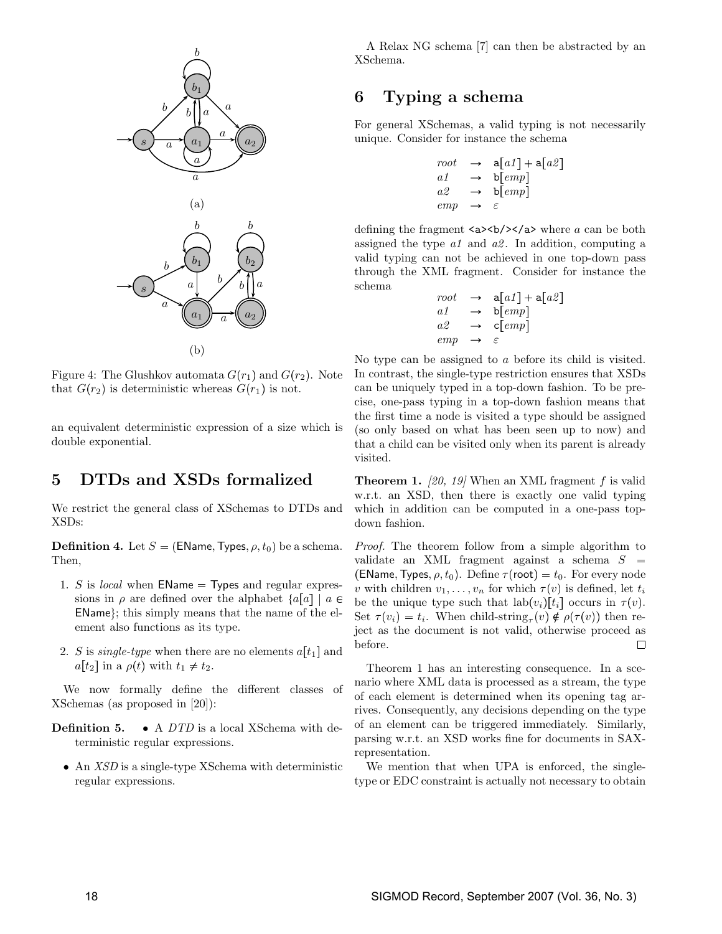

Figure 4: The Glushkov automata  $G(r_1)$  and  $G(r_2)$ . Note that  $G(r_2)$  is deterministic whereas  $G(r_1)$  is not.

an equivalent deterministic expression of a size which is double exponential.

### 5 DTDs and XSDs formalized

We restrict the general class of XSchemas to DTDs and XSDs:

**Definition 4.** Let  $S = (EName, Types, \rho, t_0)$  be a schema. Then,

- 1. S is *local* when  $\textsf{EName} = \textsf{Types}$  and regular expressions in  $\rho$  are defined over the alphabet  $\{a[a] \mid a \in \rho\}$  be the EName}; this simply means that the name of the element also functions as its type.
- 2. S is *single-type* when there are no elements  $a[t_1]$  and  $a[t_2]$  in a  $\rho(t)$  with  $t_1 \neq t_2$ .

We now formally define the different classes of XSchemas (as proposed in [20]):

- Definition 5. A DTD is a local XSchema with deterministic regular expressions.
	- An *XSD* is a single-type XSchema with deterministic regular expressions.

A Relax NG schema [7] can then be abstracted by an XSchema.

## 6 Typing a schema

For general XSchemas, a valid typing is not necessarily unique. Consider for instance the schema

$$
\begin{array}{rcl}\n\text{root} & \rightarrow & \mathsf{a}[a1] + \mathsf{a}[a2] \\
a1 & \rightarrow & \mathsf{b}[emp] \\
a2 & \rightarrow & \mathsf{b}[emp] \\
\text{emp} & \rightarrow & \varepsilon\n\end{array}
$$

defining the fragment  $\langle a \rangle \langle b \rangle \langle a \rangle$  where a can be both assigned the type  $a1$  and  $a2$ . In addition, computing a valid typing can not be achieved in one top-down pass through the XML fragment. Consider for instance the schema

$$
\begin{array}{rcl}\n\text{root} & \rightarrow & \mathsf{a}[a1] + \mathsf{a}[a2] \\
a1 & \rightarrow & \mathsf{b}[emp] \\
a2 & \rightarrow & \mathsf{c}[emp] \\
emp & \rightarrow & \varepsilon\n\end{array}
$$

No type can be assigned to a before its child is visited. In contrast, the single-type restriction ensures that XSDs can be uniquely typed in a top-down fashion. To be precise, one-pass typing in a top-down fashion means that the first time a node is visited a type should be assigned (so only based on what has been seen up to now) and that a child can be visited only when its parent is already visited.

**Theorem 1.** [20, 19] When an XML fragment f is valid w.r.t. an XSD, then there is exactly one valid typing which in addition can be computed in a one-pass topdown fashion.

Proof. The theorem follow from a simple algorithm to validate an XML fragment against a schema  $S =$ (EName, Types,  $\rho, t_0$ ). Define  $\tau$ (root) =  $t_0$ . For every node v with children  $v_1, \ldots, v_n$  for which  $\tau(v)$  is defined, let  $t_i$ be the unique type such that  $\text{lab}(v_i)[t_i]$  occurs in  $\tau(v)$ . Set  $\tau(v_i) = t_i$ . When child-string<sub> $\tau(v) \notin \rho(\tau(v))$  then re-</sub> ject as the document is not valid, otherwise proceed as before.  $\Box$ 

Theorem 1 has an interesting consequence. In a scenario where XML data is processed as a stream, the type of each element is determined when its opening tag arrives. Consequently, any decisions depending on the type of an element can be triggered immediately. Similarly, parsing w.r.t. an XSD works fine for documents in SAXrepresentation.

We mention that when UPA is enforced, the singletype or EDC constraint is actually not necessary to obtain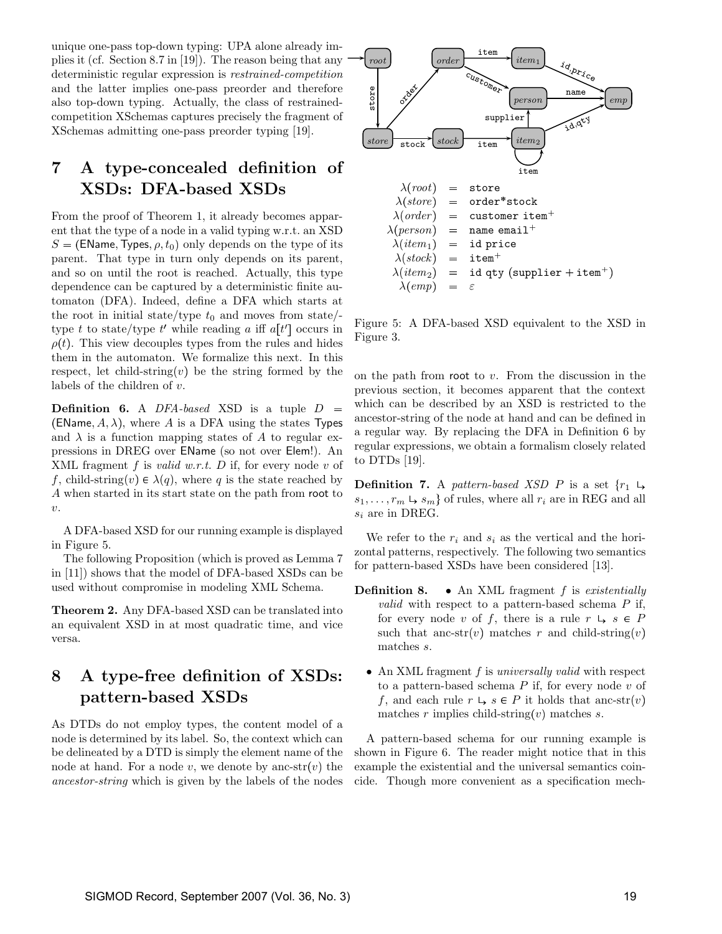unique one-pass top-down typing: UPA alone already implies it (cf. Section 8.7 in [19]). The reason being that any deterministic regular expression is restrained-competition and the latter implies one-pass preorder and therefore also top-down typing. Actually, the class of restrainedcompetition XSchemas captures precisely the fragment of XSchemas admitting one-pass preorder typing [19].

## 7 A type-concealed definition of XSDs: DFA-based XSDs

From the proof of Theorem 1, it already becomes apparent that the type of a node in a valid typing w.r.t. an XSD  $S = (EName, Types, \rho, t_0)$  only depends on the type of its parent. That type in turn only depends on its parent, and so on until the root is reached. Actually, this type dependence can be captured by a deterministic finite automaton (DFA). Indeed, define a DFA which starts at the root in initial state/type  $t_0$  and moves from state/type t to state/type t' while reading a iff  $a[t']$  occurs in  $\rho(t)$ . This view decouples types from the rules and hides them in the automaton. We formalize this next. In this respect, let child-string $(v)$  be the string formed by the labels of the children of v.

**Definition 6.** A DFA-based XSD is a tuple  $D =$ (EName,  $A, \lambda$ ), where  $A$  is a DFA using the states Types and  $\lambda$  is a function mapping states of A to regular expressions in DREG over EName (so not over Elem!). An XML fragment  $f$  is *valid w.r.t.*  $D$  if, for every node  $v$  of f, child-string $(v) \in \lambda(q)$ , where q is the state reached by A when started in its start state on the path from root to  $\upsilon$ .

A DFA-based XSD for our running example is displayed in Figure 5.

The following Proposition (which is proved as Lemma 7 in [11]) shows that the model of DFA-based XSDs can be used without compromise in modeling XML Schema.

Theorem 2. Any DFA-based XSD can be translated into an equivalent XSD in at most quadratic time, and vice versa.

## 8 A type-free definition of XSDs: pattern-based XSDs

As DTDs do not employ types, the content model of a node is determined by its label. So, the context which can be delineated by a DTD is simply the element name of the node at hand. For a node v, we denote by anc-str(v) the ancestor-string which is given by the labels of the nodes



Figure 5: A DFA-based XSD equivalent to the XSD in Figure 3.

on the path from root to  $v$ . From the discussion in the previous section, it becomes apparent that the context which can be described by an XSD is restricted to the ancestor-string of the node at hand and can be defined in a regular way. By replacing the DFA in Definition 6 by regular expressions, we obtain a formalism closely related to DTDs [19].

**Definition 7.** A pattern-based XSD P is a set  $\{r_1 \mapsto$  $s_1, \ldots, r_m \mapsto s_m$  of rules, where all  $r_i$  are in REG and all  $s_i$  are in DREG.

We refer to the  $r_i$  and  $s_i$  as the vertical and the horizontal patterns, respectively. The following two semantics for pattern-based XSDs have been considered [13].

- **Definition 8.** An XML fragment  $f$  is existentially *valid* with respect to a pattern-based schema  $P$  if, for every node v of f, there is a rule  $r \vdash s \in P$ such that anc-str(*v*) matches r and child-string (*v*) matches s.
	- An XML fragment f is universally valid with respect to a pattern-based schema  $P$  if, for every node  $v$  of f, and each rule  $r \vdash s \in P$  it holds that anc-str(v) matches r implies child-string (v) matches s.

A pattern-based schema for our running example is shown in Figure 6. The reader might notice that in this example the existential and the universal semantics coincide. Though more convenient as a specification mech-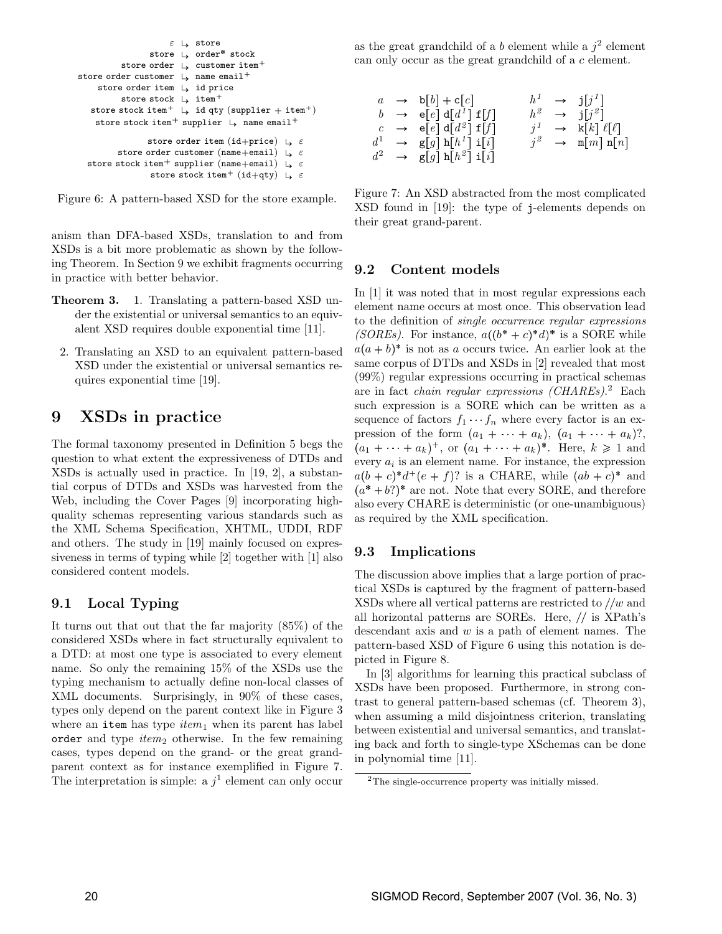```
\varepsilon \mapsto store
                        store \mathsf{L} order* stock
              store order \downarrow customer item<sup>+</sup>
store order customer \downarrow name email<sup>+</sup>
      store order item L id price
              store stock \downarrow item<sup>+</sup>
    \texttt{store stock item}^+ \;\; \cup \;\; \texttt{id} \; \texttt{qty} \; (\texttt{supplier} + \texttt{item}^+)store stock item<sup>+</sup> supplier \downarrow name email<sup>+</sup>
                       store order item (id+price) \vdash \varepsilonstore order customer (\texttt{name} + \texttt{email}) \;\; \downarrow \;\; \varepsilonstore stock item^+ supplier (\texttt{name} + \texttt{email}) \;\; \downarrow \;\; \varepsilonstore stock item^+ (id+qty) \downarrow \varepsilon
```


anism than DFA-based XSDs, translation to and from XSDs is a bit more problematic as shown by the following Theorem. In Section 9 we exhibit fragments occurring in practice with better behavior.

- Theorem 3. 1. Translating a pattern-based XSD under the existential or universal semantics to an equivalent XSD requires double exponential time [11].
	- 2. Translating an XSD to an equivalent pattern-based XSD under the existential or universal semantics requires exponential time [19].

## 9 XSDs in practice

The formal taxonomy presented in Definition 5 begs the question to what extent the expressiveness of DTDs and XSDs is actually used in practice. In [19, 2], a substantial corpus of DTDs and XSDs was harvested from the Web, including the Cover Pages [9] incorporating highquality schemas representing various standards such as the XML Schema Specification, XHTML, UDDI, RDF and others. The study in [19] mainly focused on expressiveness in terms of typing while [2] together with [1] also considered content models.

#### 9.1 Local Typing

It turns out that out that the far majority (85%) of the considered XSDs where in fact structurally equivalent to a DTD: at most one type is associated to every element name. So only the remaining 15% of the XSDs use the typing mechanism to actually define non-local classes of XML documents. Surprisingly, in 90% of these cases, types only depend on the parent context like in Figure 3 where an item has type  $item_1$  when its parent has label order and type  $item_2$  otherwise. In the few remaining cases, types depend on the grand- or the great grandparent context as for instance exemplified in Figure 7. The interpretation is simple: a  $j^1$  element can only occur

as the great grandchild of a b element while a  $j^2$  element can only occur as the great grandchild of a c element.

|  | $a \rightarrow b[b] + c[c]$                    |  | $h^1 \rightarrow j[j^1]$                         |
|--|------------------------------------------------|--|--------------------------------------------------|
|  | $b \rightarrow e[e] d[d^1] f[f]$               |  | $h^2 \rightarrow j[j^2]$                         |
|  | $c \rightarrow e[e] d[d^2] f[f]$               |  | $j^1 \rightarrow k[k] \ell[\ell]$                |
|  | $d^1 \rightarrow$ g[g] h[h <sup>1</sup> ] i[i] |  | $j^2 \rightarrow \mathbb{m}[m] \; \mathbf{n}[n]$ |
|  | $d^2 \rightarrow$ g[g] h[h <sup>2</sup> ] i[i] |  |                                                  |

Figure 7: An XSD abstracted from the most complicated XSD found in [19]: the type of j-elements depends on their great grand-parent.

#### 9.2 Content models

In [1] it was noted that in most regular expressions each element name occurs at most once. This observation lead to the definition of single occurrence regular expressions (SOREs). For instance,  $a((b^*+c)^*d)^*$  is a SORE while  $a(a + b)^*$  is not as a occurs twice. An earlier look at the same corpus of DTDs and XSDs in [2] revealed that most (99%) regular expressions occurring in practical schemas are in fact *chain regular expressions (CHAREs)*.<sup>2</sup> Each such expression is a SORE which can be written as a sequence of factors  $f_1 \cdots f_n$  where every factor is an expression of the form  $(a_1 + \cdots + a_k), (a_1 + \cdots + a_k)$ ?,  $(a_1 + \cdots + a_k)^+$ , or  $(a_1 + \cdots + a_k)^*$ . Here,  $k \geq 1$  and every  $a_i$  is an element name. For instance, the expression  $a(b+c)^*d^+(e+f)$ ? is a CHARE, while  $(ab+c)^*$  and  $(a^* + b?)^*$  are not. Note that every SORE, and therefore also every CHARE is deterministic (or one-unambiguous) as required by the XML specification.

#### 9.3 Implications

The discussion above implies that a large portion of practical XSDs is captured by the fragment of pattern-based  $XSDs$  where all vertical patterns are restricted to  $\ell/w$  and all horizontal patterns are SOREs. Here, is XPath's descendant axis and  $w$  is a path of element names. The pattern-based XSD of Figure 6 using this notation is depicted in Figure 8.

In [3] algorithms for learning this practical subclass of XSDs have been proposed. Furthermore, in strong contrast to general pattern-based schemas (cf. Theorem 3), when assuming a mild disjointness criterion, translating between existential and universal semantics, and translating back and forth to single-type XSchemas can be done in polynomial time [11].

<sup>2</sup>The single-occurrence property was initially missed.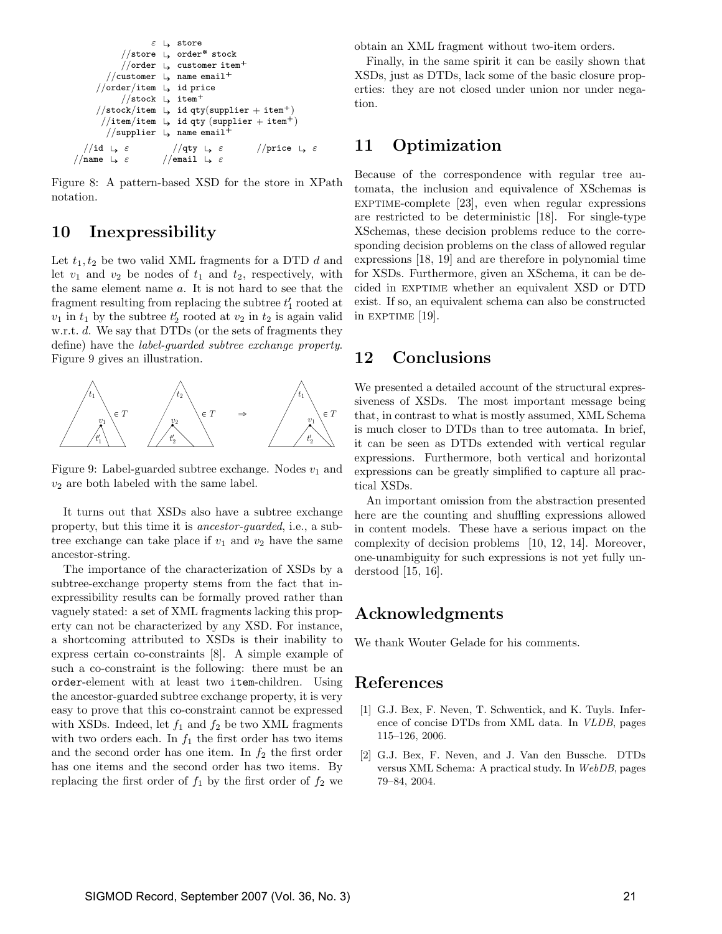$$
\begin{array}{c}\n\varepsilon \mapsto \text{store} \\
\hline\n\end{array}
$$
\n\n
$$
\begin{array}{c}\n\text{other } \downarrow \text{ order* stock} \\
\hline\n\end{array}
$$
\n\n
$$
\begin{array}{c}\n\text{other } \downarrow \text{ customer item}^+ \\
\hline\n\end{array}
$$
\n\n
$$
\begin{array}{c}\n\text{Number } \downarrow \text{ name email}^+ \\
\hline\n\end{array}
$$
\n\n
$$
\begin{array}{c}\n\text{Note/item } \downarrow \text{ id price} \\
\hline\n\end{array}
$$
\n\n
$$
\begin{array}{c}\n\text{Check/item } \downarrow \text{ id } \text{qty}(\text{supplier} + \text{item}^+) \\
\hline\n\end{array}
$$
\n\n
$$
\begin{array}{c}\n\text{time/item } \downarrow \text{ id } \text{qty}(\text{supplier} + \text{item}^+) \\
\hline\n\end{array}
$$
\n\n
$$
\begin{array}{c}\n\text{time/item } \downarrow \text{ name email}^+ \\
\hline\n\end{array}
$$
\n\n
$$
\begin{array}{c}\n\text{time/item } \downarrow \text{ name email}^+ \\
\hline\n\end{array}
$$
\n\n
$$
\begin{array}{c}\n\text{Time } \downarrow \varepsilon \quad \text{if } \text{prime } \downarrow \varepsilon \quad \text{if } \text{prime } \downarrow \varepsilon \quad \text{if } \text{prime } \downarrow \varepsilon \quad \text{if } \text{prime } \downarrow \varepsilon \quad \text{if } \text{prime } \downarrow \varepsilon \quad \text{if } \text{prime } \downarrow \varepsilon \quad \text{if } \text{prime } \downarrow \varepsilon \quad \text{if } \text{prime } \downarrow \varepsilon \quad \text{if } \text{prime } \downarrow \varepsilon \quad \text{if } \text{prime } \downarrow \varepsilon \quad \text{if } \text{prime } \downarrow \varepsilon \quad \text{if } \text{prime } \downarrow \varepsilon \quad \text{if } \text{prime } \downarrow \varepsilon \quad \text{if } \text{prime } \downarrow \varepsilon \quad \text{if } \text{prime } \downarrow \varepsilon \quad \text{if } \text{prime } \downarrow \varepsilon \quad \text{if } \text{prime } \
$$

Figure 8: A pattern-based XSD for the store in XPath notation.

### 10 Inexpressibility

Let  $t_1, t_2$  be two valid XML fragments for a DTD d and let  $v_1$  and  $v_2$  be nodes of  $t_1$  and  $t_2$ , respectively, with the same element name a. It is not hard to see that the fragment resulting from replacing the subtree  $t_1'$  rooted at  $v_1$  in  $t_1$  by the subtree  $t_2$  rooted at  $v_2$  in  $t_2$  is again valid w.r.t. d. We say that DTDs (or the sets of fragments they define) have the label-guarded subtree exchange property. Figure 9 gives an illustration.



Figure 9: Label-guarded subtree exchange. Nodes  $v_1$  and  $v_2$  are both labeled with the same label.

It turns out that XSDs also have a subtree exchange property, but this time it is ancestor-guarded, i.e., a subtree exchange can take place if  $v_1$  and  $v_2$  have the same ancestor-string.

The importance of the characterization of XSDs by a subtree-exchange property stems from the fact that inexpressibility results can be formally proved rather than vaguely stated: a set of XML fragments lacking this property can not be characterized by any XSD. For instance, a shortcoming attributed to XSDs is their inability to express certain co-constraints [8]. A simple example of such a co-constraint is the following: there must be an order-element with at least two item-children. Using the ancestor-guarded subtree exchange property, it is very easy to prove that this co-constraint cannot be expressed with XSDs. Indeed, let  $f_1$  and  $f_2$  be two XML fragments with two orders each. In  $f_1$  the first order has two items and the second order has one item. In  $f_2$  the first order has one items and the second order has two items. By replacing the first order of  $f_1$  by the first order of  $f_2$  we obtain an XML fragment without two-item orders.

Finally, in the same spirit it can be easily shown that XSDs, just as DTDs, lack some of the basic closure properties: they are not closed under union nor under negation.

### 11 Optimization

Because of the correspondence with regular tree automata, the inclusion and equivalence of XSchemas is EXPTIME-complete  $[23]$ , even when regular expressions are restricted to be deterministic [18]. For single-type XSchemas, these decision problems reduce to the corresponding decision problems on the class of allowed regular expressions [18, 19] and are therefore in polynomial time for XSDs. Furthermore, given an XSchema, it can be decided in EXPTIME whether an equivalent XSD or DTD exist. If so, an equivalent schema can also be constructed in EXPTIME  $[19]$ .

### 12 Conclusions

 $\epsilon T$  that, in contrast to what is mostly assumed, XML Schema We presented a detailed account of the structural expressiveness of XSDs. The most important message being is much closer to DTDs than to tree automata. In brief, it can be seen as DTDs extended with vertical regular expressions. Furthermore, both vertical and horizontal expressions can be greatly simplified to capture all practical XSDs.

An important omission from the abstraction presented here are the counting and shuffling expressions allowed in content models. These have a serious impact on the complexity of decision problems [10, 12, 14]. Moreover, one-unambiguity for such expressions is not yet fully understood [15, 16].

#### Acknowledgments

We thank Wouter Gelade for his comments.

#### References

- [1] G.J. Bex, F. Neven, T. Schwentick, and K. Tuyls. Inference of concise DTDs from XML data. In VLDB, pages 115–126, 2006.
- [2] G.J. Bex, F. Neven, and J. Van den Bussche. DTDs versus XML Schema: A practical study. In WebDB, pages 79–84, 2004.